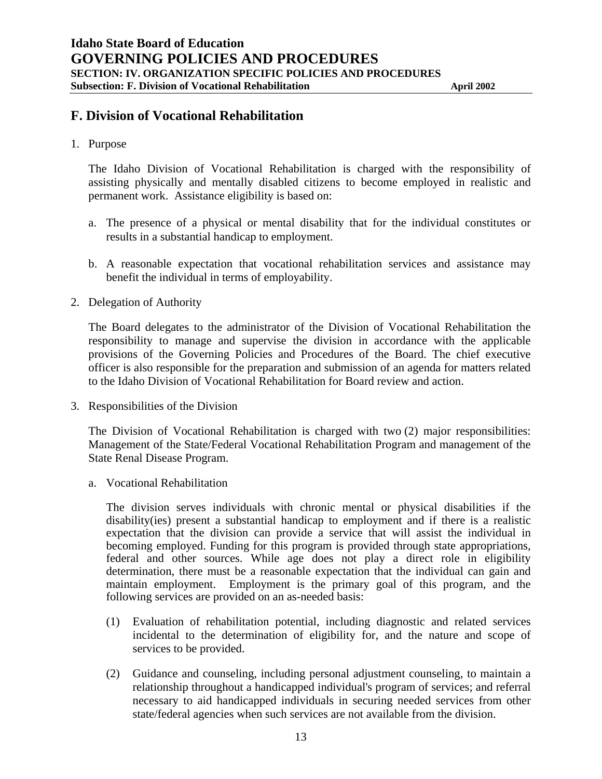## **F. Division of Vocational Rehabilitation**

1. Purpose

The Idaho Division of Vocational Rehabilitation is charged with the responsibility of assisting physically and mentally disabled citizens to become employed in realistic and permanent work. Assistance eligibility is based on:

- a. The presence of a physical or mental disability that for the individual constitutes or results in a substantial handicap to employment.
- b. A reasonable expectation that vocational rehabilitation services and assistance may benefit the individual in terms of employability.
- 2. Delegation of Authority

The Board delegates to the administrator of the Division of Vocational Rehabilitation the responsibility to manage and supervise the division in accordance with the applicable provisions of the Governing Policies and Procedures of the Board. The chief executive officer is also responsible for the preparation and submission of an agenda for matters related to the Idaho Division of Vocational Rehabilitation for Board review and action.

3. Responsibilities of the Division

The Division of Vocational Rehabilitation is charged with two (2) major responsibilities: Management of the State/Federal Vocational Rehabilitation Program and management of the State Renal Disease Program.

a. Vocational Rehabilitation

 The division serves individuals with chronic mental or physical disabilities if the disability(ies) present a substantial handicap to employment and if there is a realistic expectation that the division can provide a service that will assist the individual in becoming employed. Funding for this program is provided through state appropriations, federal and other sources. While age does not play a direct role in eligibility determination, there must be a reasonable expectation that the individual can gain and maintain employment. Employment is the primary goal of this program, and the following services are provided on an as-needed basis:

- (1) Evaluation of rehabilitation potential, including diagnostic and related services incidental to the determination of eligibility for, and the nature and scope of services to be provided.
- (2) Guidance and counseling, including personal adjustment counseling, to maintain a relationship throughout a handicapped individual's program of services; and referral necessary to aid handicapped individuals in securing needed services from other state/federal agencies when such services are not available from the division.